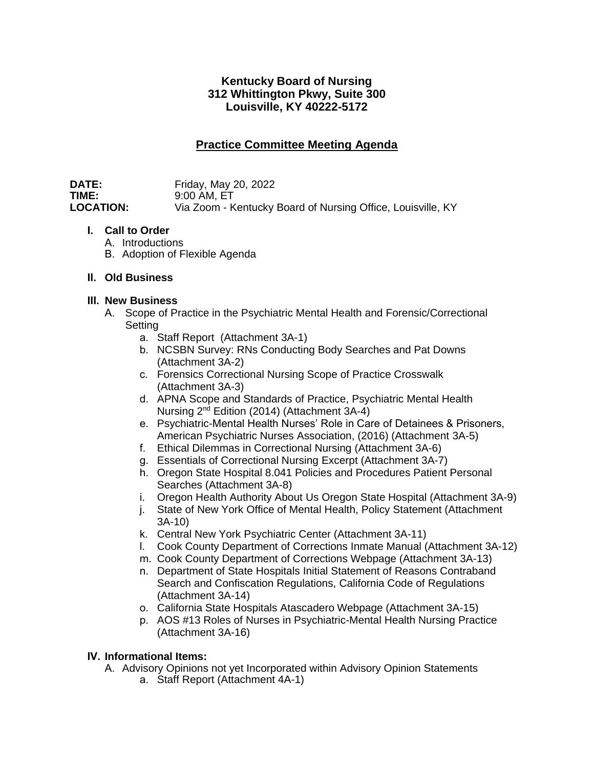## **Kentucky Board of Nursing 312 Whittington Pkwy, Suite 300 Louisville, KY 40222-5172**

# **Practice Committee Meeting Agenda**

**DATE:** Friday, May 20, 2022<br>**TIME:** 9:00 AM, FT **TIME:** 9:00 AM, ET<br> **LOCATION:** Via Zoom - K Via Zoom - Kentucky Board of Nursing Office, Louisville, KY

## **I. Call to Order**

- A. Introductions
- B. Adoption of Flexible Agenda

## **II. Old Business**

## **III. New Business**

- A. Scope of Practice in the Psychiatric Mental Health and Forensic/Correctional Setting
	- a. Staff Report (Attachment 3A-1)
	- b. NCSBN Survey: RNs Conducting Body Searches and Pat Downs (Attachment 3A-2)
	- c. Forensics Correctional Nursing Scope of Practice Crosswalk (Attachment 3A-3)
	- d. APNA Scope and Standards of Practice, Psychiatric Mental Health Nursing 2nd Edition (2014) (Attachment 3A-4)
	- e. Psychiatric-Mental Health Nurses' Role in Care of Detainees & Prisoners, American Psychiatric Nurses Association, (2016) (Attachment 3A-5)
	- f. Ethical Dilemmas in Correctional Nursing (Attachment 3A-6)
	- g. Essentials of Correctional Nursing Excerpt (Attachment 3A-7)
	- h. Oregon State Hospital 8.041 Policies and Procedures Patient Personal Searches (Attachment 3A-8)
	- i. Oregon Health Authority About Us Oregon State Hospital (Attachment 3A-9)
	- j. State of New York Office of Mental Health, Policy Statement (Attachment 3A-10)
	- k. Central New York Psychiatric Center (Attachment 3A-11)
	- l. Cook County Department of Corrections Inmate Manual (Attachment 3A-12)
	- m. Cook County Department of Corrections Webpage (Attachment 3A-13)
	- n. Department of State Hospitals Initial Statement of Reasons Contraband Search and Confiscation Regulations, California Code of Regulations (Attachment 3A-14)
	- o. California State Hospitals Atascadero Webpage (Attachment 3A-15)
	- p. AOS #13 Roles of Nurses in Psychiatric-Mental Health Nursing Practice (Attachment 3A-16)

## **IV. Informational Items:**

- A. Advisory Opinions not yet Incorporated within Advisory Opinion Statements
	- a. Staff Report (Attachment 4A-1)